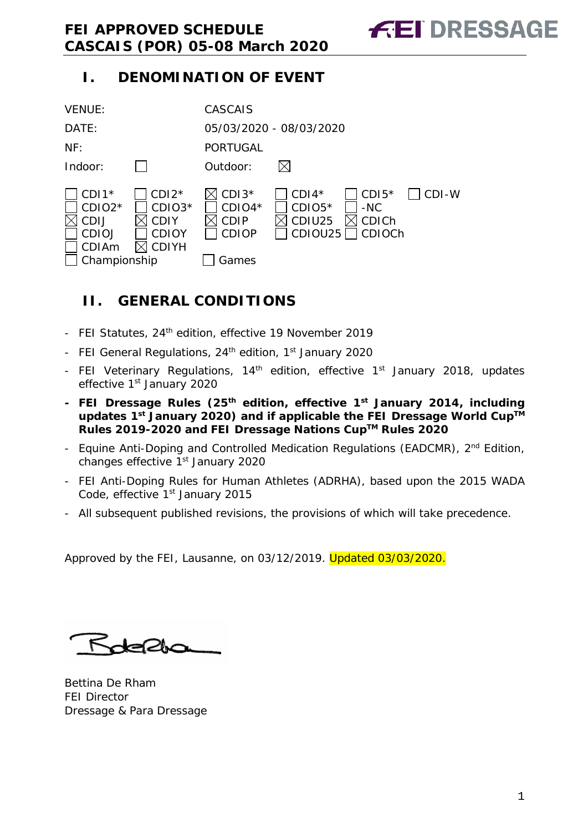### <span id="page-0-0"></span>**I. DENOMINATION OF EVENT**

| <b>VENUE:</b>                                                               |                                                                  | <b>CASCAIS</b>                                       |                                          |                                     |       |
|-----------------------------------------------------------------------------|------------------------------------------------------------------|------------------------------------------------------|------------------------------------------|-------------------------------------|-------|
| DATE:                                                                       |                                                                  |                                                      | 05/03/2020 - 08/03/2020                  |                                     |       |
| NF:                                                                         |                                                                  | <b>PORTUGAL</b>                                      |                                          |                                     |       |
| Indoor:                                                                     |                                                                  | Outdoor:                                             |                                          |                                     |       |
| $CDI1*$<br>$CDIO2*$<br>CDIJ<br><b>CDIOJ</b><br><b>CDIAm</b><br>Championship | $CDI2*$<br>CDIO3*<br><b>CDIY</b><br><b>CDIOY</b><br><b>CDIYH</b> | $CDI3*$<br>$CDIO4*$<br>CDIP<br><b>CDIOP</b><br>Games | $CDI4*$<br>$CDIO5*$<br>CDIU25<br>CDIOU25 | $CDI5*$<br>$-NC$<br>CDICh<br>CDIOCh | CDI-W |

### <span id="page-0-1"></span>**II. GENERAL CONDITIONS**

- FEI Statutes, 24<sup>th</sup> edition, effective 19 November 2019
- FEI General Regulations, 24<sup>th</sup> edition, 1<sup>st</sup> January 2020
- FEI Veterinary Regulations, 14<sup>th</sup> edition, effective 1<sup>st</sup> January 2018, updates effective 1<sup>st</sup> January 2020
- **- FEI Dressage Rules (25th edition, effective 1st January 2014, including**  updates 1<sup>st</sup> January 2020) and if applicable the FEI Dressage World Cup™ **Rules 2019-2020 and FEI Dressage Nations CupTM Rules 2020**
- Equine Anti-Doping and Controlled Medication Regulations (EADCMR), 2<sup>nd</sup> Edition, changes effective 1<sup>st</sup> January 2020
- FEI Anti-Doping Rules for Human Athletes (ADRHA), based upon the 2015 WADA Code, effective 1<sup>st</sup> January 2015
- All subsequent published revisions, the provisions of which will take precedence.
- 

Approved by the FEI, Lausanne, on 03/12/2019. Updated 03/03/2020.

Roberts

Bettina De Rham FEI Director Dressage & Para Dressage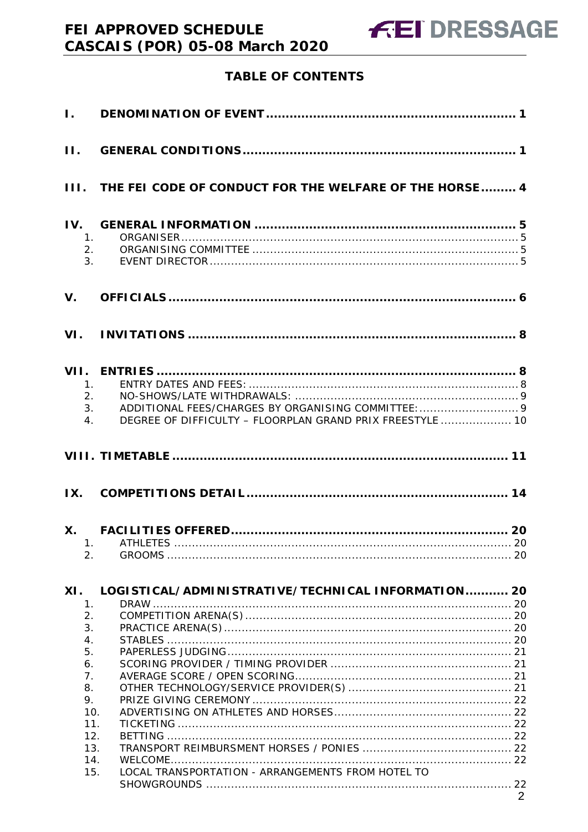### **TABLE OF CONTENTS**

| $\mathbf{I}$ .                                      |                                                                 |  |
|-----------------------------------------------------|-----------------------------------------------------------------|--|
| $\Pi$ .                                             |                                                                 |  |
|                                                     | III. THE FEI CODE OF CONDUCT FOR THE WELFARE OF THE HORSE 4     |  |
| IV.<br>$\mathbf{1}_{\cdot}$<br>2.<br>3 <sub>1</sub> |                                                                 |  |
| $V_{\cdot}$                                         |                                                                 |  |
| VI.                                                 |                                                                 |  |
|                                                     |                                                                 |  |
| $1_{\cdot}$                                         |                                                                 |  |
| 2.                                                  |                                                                 |  |
| 4.                                                  | 3.<br>DEGREE OF DIFFICULTY - FLOORPLAN GRAND PRIX FREESTYLE  10 |  |
|                                                     |                                                                 |  |
|                                                     |                                                                 |  |
|                                                     |                                                                 |  |
| <b>X</b> .                                          |                                                                 |  |
| 1.                                                  |                                                                 |  |
| 2.                                                  |                                                                 |  |
| XI.                                                 | LOGI STICAL/ADMINI STRATIVE/TECHNICAL INFORMATION 20            |  |
| 1.                                                  |                                                                 |  |
| 2.                                                  |                                                                 |  |
| 3.                                                  |                                                                 |  |
| $\overline{4}$ .                                    |                                                                 |  |
| 5.<br>6.                                            |                                                                 |  |
| 7.                                                  |                                                                 |  |
| 8.                                                  |                                                                 |  |
| 9.                                                  |                                                                 |  |
| 10.                                                 |                                                                 |  |
| 11.                                                 |                                                                 |  |
| 12.                                                 |                                                                 |  |
| 13.                                                 |                                                                 |  |
| 14.                                                 |                                                                 |  |
| 15.                                                 | LOCAL TRANSPORTATION - ARRANGEMENTS FROM HOTEL TO               |  |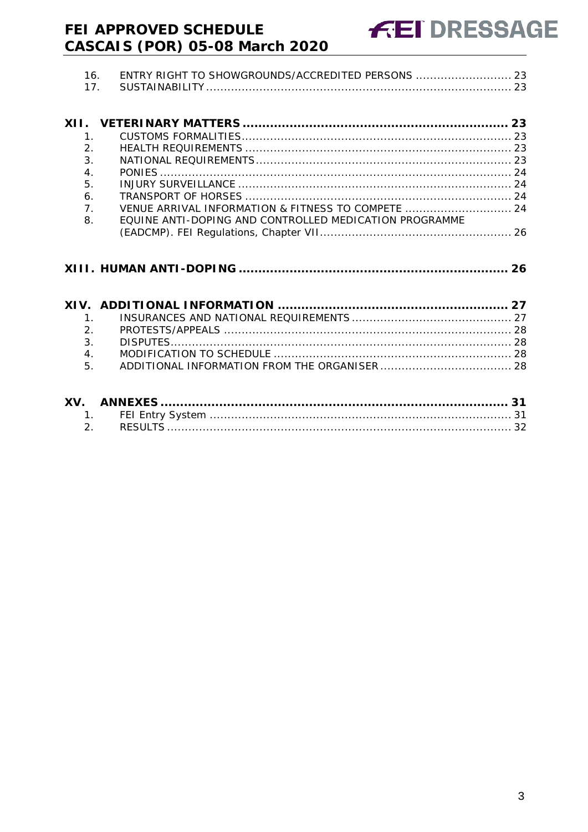|      | 16.<br>17.      | ENTRY RIGHT TO SHOWGROUNDS/ACCREDITED PERSONS  23      |    |
|------|-----------------|--------------------------------------------------------|----|
| XII. |                 |                                                        | 23 |
|      |                 |                                                        |    |
|      | $\mathcal{P}_1$ |                                                        |    |
|      | 3.              |                                                        |    |
|      | $\overline{4}$  |                                                        |    |
|      | 5.              |                                                        |    |
|      | 6.              |                                                        |    |
|      | 7 <sub>1</sub>  | VENUE ARRIVAL INFORMATION & FITNESS TO COMPETE  24     |    |
|      | 8               | EQUINE ANTI-DOPING AND CONTROLLED MEDICATION PROGRAMME |    |
|      |                 |                                                        |    |
|      |                 |                                                        |    |
|      |                 |                                                        |    |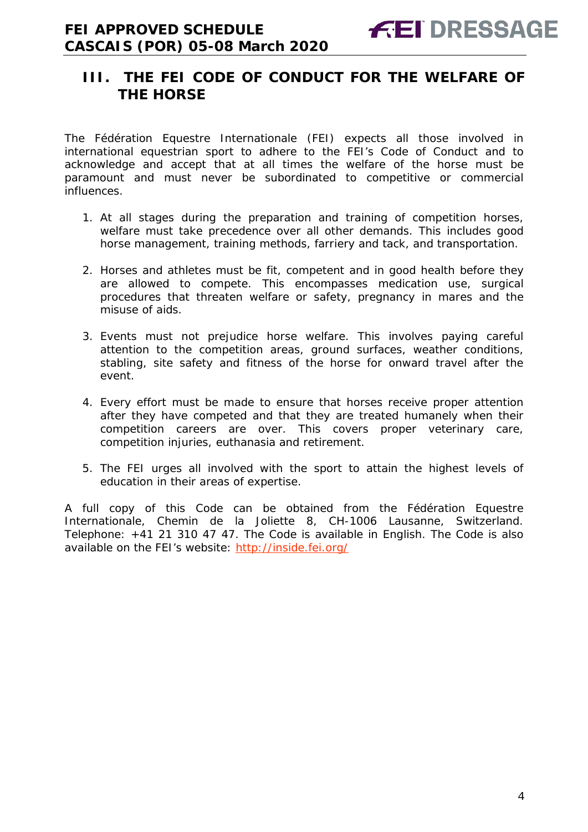### <span id="page-3-0"></span>**III. THE FEI CODE OF CONDUCT FOR THE WELFARE OF THE HORSE**

The Fédération Equestre Internationale (FEI) expects all those involved in international equestrian sport to adhere to the FEI's Code of Conduct and to acknowledge and accept that at all times the welfare of the horse must be paramount and must never be subordinated to competitive or commercial influences.

- 1. At all stages during the preparation and training of competition horses, welfare must take precedence over all other demands. This includes good horse management, training methods, farriery and tack, and transportation.
- 2. Horses and athletes must be fit, competent and in good health before they are allowed to compete. This encompasses medication use, surgical procedures that threaten welfare or safety, pregnancy in mares and the misuse of aids.
- 3. Events must not prejudice horse welfare. This involves paying careful attention to the competition areas, ground surfaces, weather conditions, stabling, site safety and fitness of the horse for onward travel after the event.
- 4. Every effort must be made to ensure that horses receive proper attention after they have competed and that they are treated humanely when their competition careers are over. This covers proper veterinary care, competition injuries, euthanasia and retirement.
- 5. The FEI urges all involved with the sport to attain the highest levels of education in their areas of expertise.

A full copy of this Code can be obtained from the Fédération Equestre Internationale, Chemin de la Joliette 8, CH-1006 Lausanne, Switzerland. Telephone: +41 21 310 47 47. The Code is available in English. The Code is also available on the FEI's website:<http://inside.fei.org/>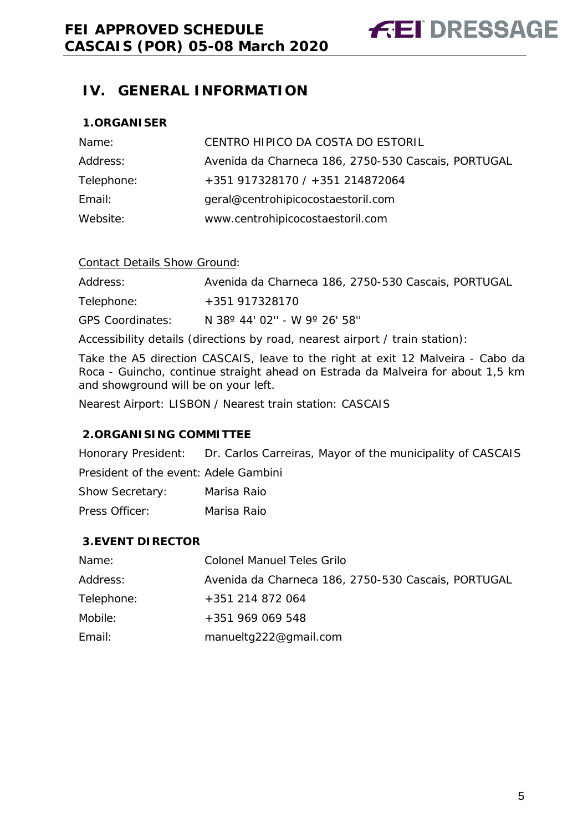### <span id="page-4-0"></span>**IV. GENERAL INFORMATION**

#### <span id="page-4-1"></span>**1.ORGANISER**

| Name:      | CENTRO HIPICO DA COSTA DO ESTORIL                   |
|------------|-----------------------------------------------------|
| Address:   | Avenida da Charneca 186, 2750-530 Cascais, PORTUGAL |
| Telephone: | +351 917328170 / +351 214872064                     |
| Email:     | geral@centrohipicocostaestoril.com                  |
| Website:   | www.centrohipicocostaestoril.com                    |

#### Contact Details Show Ground:

Address: Avenida da Charneca 186, 2750-530 Cascais, PORTUGAL Telephone: +351 917328170 GPS Coordinates: N 38º 44' 02'' - W 9º 26' 58''

Accessibility details (directions by road, nearest airport / train station):

Take the A5 direction CASCAIS, leave to the right at exit 12 Malveira - Cabo da Roca - Guincho, continue straight ahead on Estrada da Malveira for about 1,5 km and showground will be on your left.

Nearest Airport: LISBON / Nearest train station: CASCAIS

#### <span id="page-4-2"></span>**2.ORGANISING COMMITTEE**

Honorary President: Dr. Carlos Carreiras, Mayor of the municipality of CASCAIS President of the event: Adele Gambini Show Secretary: Marisa Raio Press Officer: Marisa Raio

## <span id="page-4-3"></span>**3.EVENT DIRECTOR**

| Name:      | <b>Colonel Manuel Teles Grilo</b>                   |
|------------|-----------------------------------------------------|
| Address:   | Avenida da Charneca 186, 2750-530 Cascais, PORTUGAL |
| Telephone: | +351 214 872 064                                    |
| Mobile:    | $+351969069548$                                     |
| Email:     | manueltg222@gmail.com                               |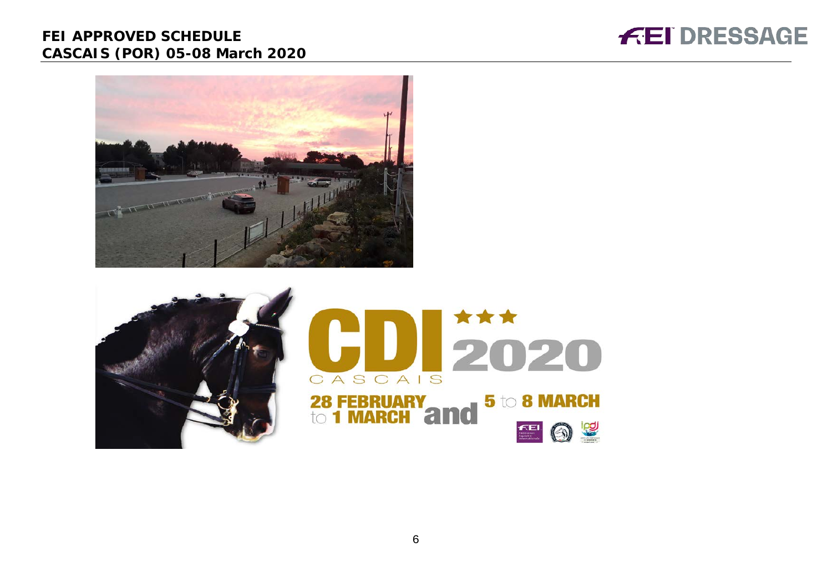



<span id="page-5-0"></span>

6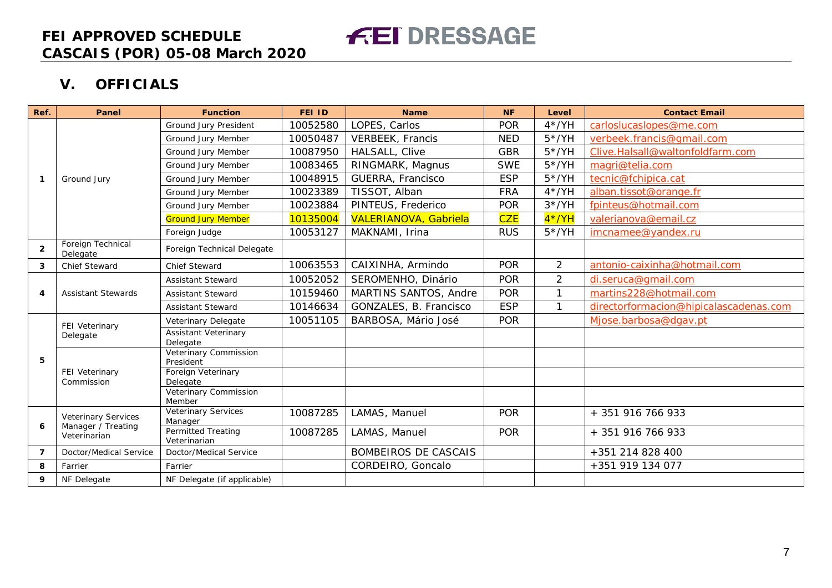**V. OFFICIALS**

| Ref.           | Panel                                            | <b>Function</b>                           | <b>FEI ID</b> | <b>Name</b>                  | <b>NF</b>  | Level          | <b>Contact Email</b>                   |
|----------------|--------------------------------------------------|-------------------------------------------|---------------|------------------------------|------------|----------------|----------------------------------------|
|                |                                                  | Ground Jury President                     | 10052580      | LOPES, Carlos                | <b>POR</b> | $4*/YH$        | carloslucaslopes@me.com                |
|                |                                                  | Ground Jury Member                        | 10050487      | <b>VERBEEK, Francis</b>      | <b>NED</b> | $5*/YH$        | verbeek.francis@gmail.com              |
|                |                                                  | Ground Jury Member                        | 10087950      | HALSALL, Clive               | <b>GBR</b> | $5*/YH$        | Clive.Halsall@waltonfoldfarm.com       |
|                |                                                  | Ground Jury Member                        | 10083465      | RINGMARK, Magnus             | <b>SWE</b> | $5*/YH$        | magri@telia.com                        |
| $\mathbf{1}$   | Ground Jury                                      | Ground Jury Member                        | 10048915      | GUERRA, Francisco            | <b>ESP</b> | $5*/YH$        | tecnic@fchipica.cat                    |
|                |                                                  | Ground Jury Member                        | 10023389      | TISSOT, Alban                | <b>FRA</b> | $4*/YH$        | alban.tissot@orange.fr                 |
|                |                                                  | Ground Jury Member                        | 10023884      | PINTEUS, Frederico           | <b>POR</b> | $3*/YH$        | fpinteus@hotmail.com                   |
|                |                                                  | <b>Ground Jury Member</b>                 | 10135004      | <b>VALERIANOVA, Gabriela</b> | <b>CZE</b> | $4*/YH$        | valerianova@email.cz                   |
|                |                                                  | Foreign Judge                             | 10053127      | MAKNAMI, Irina               | <b>RUS</b> | $5*/YH$        | imcnamee@yandex.ru                     |
| $\overline{2}$ | Foreign Technical<br>Delegate                    | Foreign Technical Delegate                |               |                              |            |                |                                        |
| 3              | Chief Steward                                    | <b>Chief Steward</b>                      | 10063553      | CAIXINHA, Armindo            | <b>POR</b> | $\overline{2}$ | antonio-caixinha@hotmail.com           |
|                | <b>Assistant Stewards</b>                        | <b>Assistant Steward</b>                  | 10052052      | SEROMENHO, Dinário           | <b>POR</b> | $\overline{2}$ | di.seruca@gmail.com                    |
| 4              |                                                  | <b>Assistant Steward</b>                  | 10159460      | MARTINS SANTOS, Andre        | <b>POR</b> | $\mathbf{1}$   | martins228@hotmail.com                 |
|                |                                                  | <b>Assistant Steward</b>                  | 10146634      | GONZALES, B. Francisco       | <b>ESP</b> | $\mathbf{1}$   | directorformacion@hipicalascadenas.com |
|                | FEI Veterinary<br>Delegate                       | Veterinary Delegate                       | 10051105      | BARBOSA, Mário José          | <b>POR</b> |                | Miose.barbosa@dgav.pt                  |
|                |                                                  | <b>Assistant Veterinary</b><br>Delegate   |               |                              |            |                |                                        |
| 5              | FEI Veterinary<br>Commission                     | <b>Veterinary Commission</b><br>President |               |                              |            |                |                                        |
|                |                                                  | Foreign Veterinary<br>Delegate            |               |                              |            |                |                                        |
|                |                                                  | Veterinary Commission<br>Member           |               |                              |            |                |                                        |
|                | <b>Veterinary Services</b><br>Manager / Treating | Veterinary Services<br>Manager            | 10087285      | LAMAS, Manuel                | <b>POR</b> |                | + 351 916 766 933                      |
| 6              | Veterinarian                                     | <b>Permitted Treating</b><br>Veterinarian | 10087285      | LAMAS, Manuel                | <b>POR</b> |                | + 351 916 766 933                      |
| 7              | Doctor/Medical Service                           | Doctor/Medical Service                    |               | <b>BOMBEIROS DE CASCAIS</b>  |            |                | +351 214 828 400                       |
| 8              | Farrier                                          | Farrier                                   |               | CORDEIRO, Goncalo            |            |                | +351 919 134 077                       |
| 9              | NF Delegate                                      | NF Delegate (if applicable)               |               |                              |            |                |                                        |

**FEI DRESSAGE**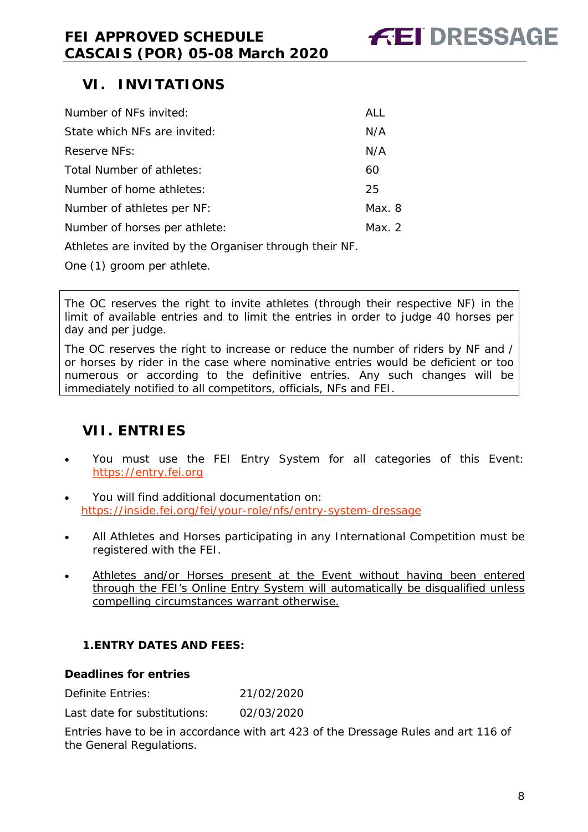### <span id="page-7-0"></span>**VI. INVITATIONS**

| Number of NFs invited:        | <b>ALL</b> |
|-------------------------------|------------|
| State which NFs are invited:  | N/A        |
| Reserve NFs:                  | N/A        |
| Total Number of athletes:     | 60         |
| Number of home athletes:      | 25         |
| Number of athletes per NF:    | Max. 8     |
| Number of horses per athlete: | Max. $2$   |
|                               |            |

Athletes are invited by the Organiser through their NF.

One (1) groom per athlete.

The OC reserves the right to invite athletes (through their respective NF) in the limit of available entries and to limit the entries in order to judge 40 horses per day and per judge.

The OC reserves the right to increase or reduce the number of riders by NF and / or horses by rider in the case where nominative entries would be deficient or too numerous or according to the definitive entries. Any such changes will be immediately notified to all competitors, officials, NFs and FEI.

### <span id="page-7-1"></span>**VII. ENTRIES**

- You must use the FEI Entry System for all categories of this Event: [https://entry.fei.org](https://entry.fei.org/)
- You will find additional documentation on: [https://inside.fei.org/fei/your-role/nfs/entry-system-dressage](http://inside.fei.org/your-role/nfs/entry-system-dressage)
- All Athletes and Horses participating in any International Competition must be registered with the FEI.
- Athletes and/or Horses present at the Event without having been entered through the FEI's Online Entry System will automatically be disqualified unless compelling circumstances warrant otherwise.

#### <span id="page-7-2"></span>**1.ENTRY DATES AND FEES:**

#### **Deadlines for entries**

Definite Entries: 21/02/2020

Last date for substitutions: 02/03/2020

Entries have to be in accordance with art 423 of the Dressage Rules and art 116 of the General Regulations.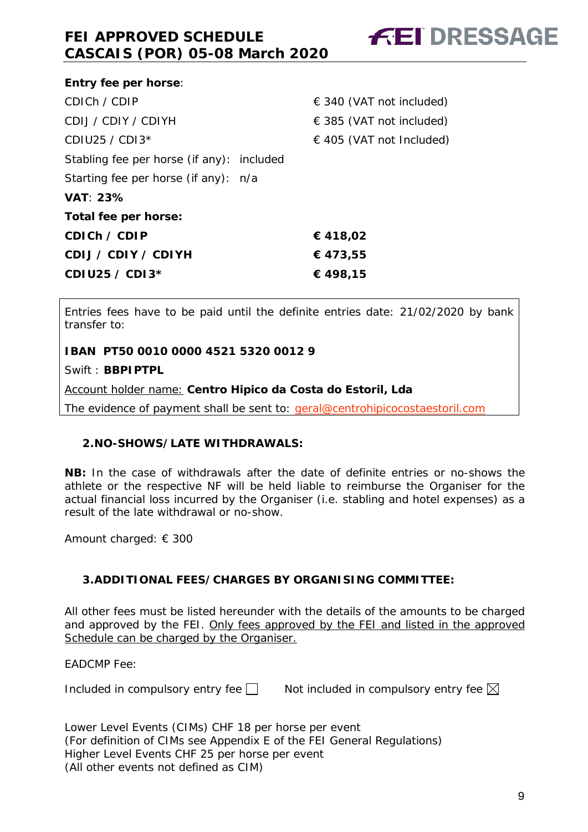

| <b>Entry fee per horse:</b>               |                              |  |
|-------------------------------------------|------------------------------|--|
| CDICH / CDIP                              | $\in$ 340 (VAT not included) |  |
| CDIJ / CDIY / CDIYH                       | $\in$ 385 (VAT not included) |  |
| CDIU25 / CDI $3*$                         | $\in$ 405 (VAT not Included) |  |
| Stabling fee per horse (if any): included |                              |  |
| Starting fee per horse (if any): n/a      |                              |  |
| <b>VAT: 23%</b>                           |                              |  |
| Total fee per horse:                      |                              |  |
| CDICH $\angle$ CDIP                       | € 418,02                     |  |
| CDIJ / CDIY / CDIYH                       | €473,55                      |  |
| CDIU25 / CDI3*                            | € 498,15                     |  |
|                                           |                              |  |

Entries fees have to be paid until the definite entries date: 21/02/2020 by bank transfer to:

**IBAN PT50 0010 0000 4521 5320 0012 9**

Swift : **BBPIPTPL**

Account holder name: **Centro Hipico da Costa do Estoril, Lda**

The evidence of payment shall be sent to: [geral@centrohipicocostaestoril.com](mailto:geral@centrohipicocostaestoril.com)

#### <span id="page-8-0"></span>**2.NO-SHOWS/LATE WITHDRAWALS:**

**NB:** In the case of withdrawals after the date of definite entries or no-shows the athlete or the respective NF will be held liable to reimburse the Organiser for the actual financial loss incurred by the Organiser (i.e. stabling and hotel expenses) as a result of the late withdrawal or no-show.

Amount charged: € 300

#### <span id="page-8-1"></span>**3.ADDITIONAL FEES/CHARGES BY ORGANISING COMMITTEE:**

All other fees must be listed hereunder with the details of the amounts to be charged and approved by the FEI. Only fees approved by the FEI and listed in the approved Schedule can be charged by the Organiser.

EADCMP Fee:

Included in compulsory entry fee  $\square$  Not included in compulsory entry fee  $\square$ 

Lower Level Events (CIMs) CHF 18 per horse per event (For definition of CIMs see Appendix E of the FEI General Regulations) Higher Level Events CHF 25 per horse per event (All other events not defined as CIM)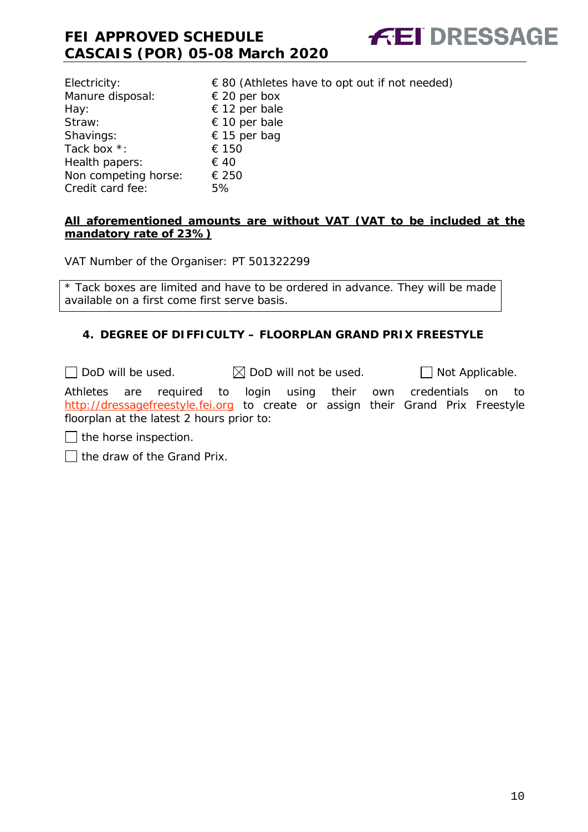| $\epsilon$ 80 (Athletes have to opt out if not needed) |
|--------------------------------------------------------|
| $\epsilon$ 20 per box                                  |
| € 12 per bale                                          |
| $\epsilon$ 10 per bale                                 |
| € 15 per bag                                           |
| € 150                                                  |
| € 40                                                   |
| € 250                                                  |
| 5%                                                     |
|                                                        |

#### **All aforementioned amounts are without VAT (VAT to be included at the mandatory rate of 23%)**

VAT Number of the Organiser: PT 501322299

\* Tack boxes are limited and have to be ordered in advance. They will be made available on a first come first serve basis.

#### <span id="page-9-0"></span>**4. DEGREE OF DIFFICULTY – FLOORPLAN GRAND PRIX FREESTYLE**

 $\Box$  DoD will be used.  $\boxtimes$  DoD will not be used.  $\Box$  Not Applicable.

Athletes are required to login using their own credentials on to [http://dressagefreestyle.fei.org](http://dressagefreestyle.fei.org/) to create or assign their Grand Prix Freestyle floorplan at the latest 2 hours prior to:

the horse inspection.

 $\Box$  the draw of the Grand Prix.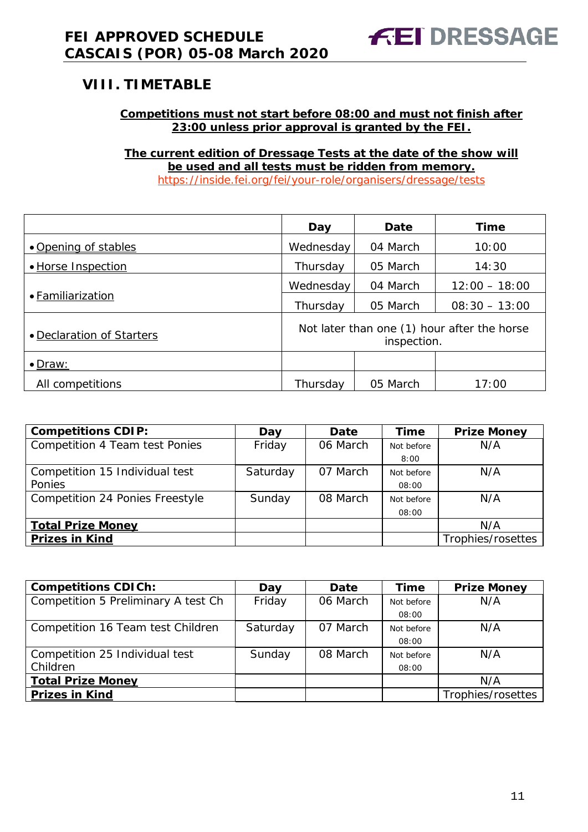### <span id="page-10-0"></span>**VIII. TIMETABLE**

#### **Competitions must not start before 08:00 and must not finish after 23:00 unless prior approval is granted by the FEI.**

**The current edition of Dressage Tests at the date of the show will be used and all tests must be ridden from memory.** <https://inside.fei.org/fei/your-role/organisers/dressage/tests>

|                                                                                         | Day                   | Date     | <b>Time</b>     |
|-----------------------------------------------------------------------------------------|-----------------------|----------|-----------------|
| • Opening of stables                                                                    | Wednesday             | 04 March | 10:00           |
| • Horse Inspection                                                                      | Thursday              | 05 March | 14:30           |
|                                                                                         | Wednesday<br>04 March |          | $12:00 - 18:00$ |
| • Familiarization                                                                       | Thursday              | 05 March | $08:30 - 13:00$ |
| Not later than one (1) hour after the horse<br>• Declaration of Starters<br>inspection. |                       |          |                 |
| $\bullet$ Draw:                                                                         |                       |          |                 |
| All competitions                                                                        | Thursday              | 05 March | 17:00           |

| <b>Competitions CDIP:</b>       | Day      | Date     | <b>Time</b> | <b>Prize Money</b> |
|---------------------------------|----------|----------|-------------|--------------------|
| Competition 4 Team test Ponies  | Friday   | 06 March | Not before  | N/A                |
|                                 |          |          | 8:00        |                    |
| Competition 15 Individual test  | Saturday | 07 March | Not before  | N/A                |
| Ponies                          |          |          | 08:00       |                    |
| Competition 24 Ponies Freestyle | Sunday   | 08 March | Not before  | N/A                |
|                                 |          |          | 08:00       |                    |
| <b>Total Prize Money</b>        |          |          |             | N/A                |
| <b>Prizes in Kind</b>           |          |          |             | Trophies/rosettes  |

| <b>Competitions CDICh:</b>          | Day      | Date     | <b>Time</b> | <b>Prize Money</b> |
|-------------------------------------|----------|----------|-------------|--------------------|
| Competition 5 Preliminary A test Ch | Friday   | 06 March | Not before  | N/A                |
|                                     |          |          | 08:00       |                    |
| Competition 16 Team test Children   | Saturday | 07 March | Not before  | N/A                |
|                                     |          |          | 08:00       |                    |
| Competition 25 Individual test      | Sunday   | 08 March | Not before  | N/A                |
| Children                            |          |          | 08:00       |                    |
| <b>Total Prize Money</b>            |          |          |             | N/A                |
| <b>Prizes in Kind</b>               |          |          |             | Trophies/rosettes  |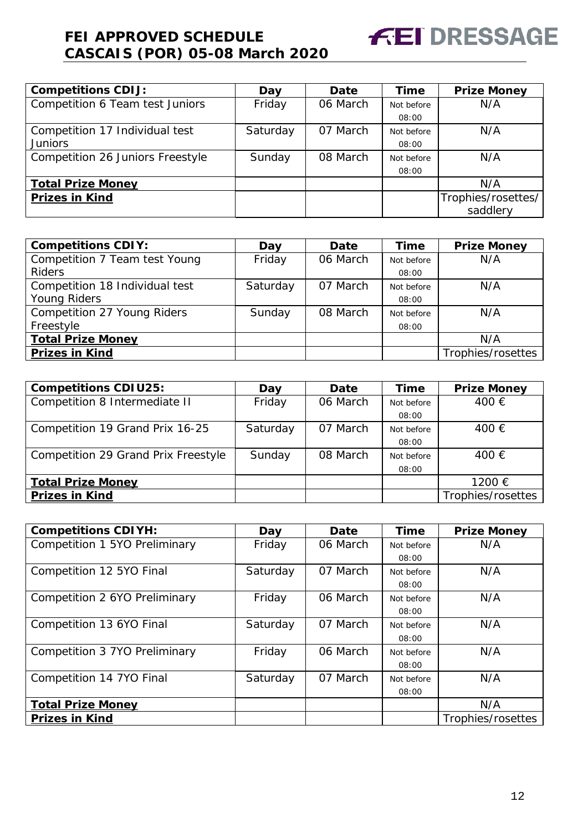

| <b>Competitions CDIJ:</b>        | Day      | Date     | <b>Time</b> | <b>Prize Money</b> |
|----------------------------------|----------|----------|-------------|--------------------|
| Competition 6 Team test Juniors  | Friday   | 06 March | Not before  | N/A                |
|                                  |          |          | 08:00       |                    |
| Competition 17 Individual test   | Saturday | 07 March | Not before  | N/A                |
| <b>Juniors</b>                   |          |          | 08:00       |                    |
| Competition 26 Juniors Freestyle | Sunday   | 08 March | Not before  | N/A                |
|                                  |          |          | 08:00       |                    |
| <b>Total Prize Money</b>         |          |          |             | N/A                |
| <b>Prizes in Kind</b>            |          |          |             | Trophies/rosettes/ |
|                                  |          |          |             | saddlery           |

| <b>Competitions CDIY:</b>      | Day      | Date     | <b>Time</b> | <b>Prize Money</b> |
|--------------------------------|----------|----------|-------------|--------------------|
| Competition 7 Team test Young  | Friday   | 06 March | Not before  | N/A                |
| <b>Riders</b>                  |          |          | 08:00       |                    |
| Competition 18 Individual test | Saturday | 07 March | Not before  | N/A                |
| <b>Young Riders</b>            |          |          | 08:00       |                    |
| Competition 27 Young Riders    | Sunday   | 08 March | Not before  | N/A                |
| Freestyle                      |          |          | 08:00       |                    |
| <b>Total Prize Money</b>       |          |          |             | N/A                |
| <b>Prizes in Kind</b>          |          |          |             | Trophies/rosettes  |

| <b>Competitions CDIU25:</b>         | Day      | <b>Date</b> | Time       | <b>Prize Money</b> |
|-------------------------------------|----------|-------------|------------|--------------------|
| Competition 8 Intermediate II       | Friday   | 06 March    | Not before | 400 €              |
|                                     |          |             | 08:00      |                    |
| Competition 19 Grand Prix 16-25     | Saturday | 07 March    | Not before | 400 €              |
|                                     |          |             | 08:00      |                    |
| Competition 29 Grand Prix Freestyle | Sunday   | 08 March    | Not before | 400 €              |
|                                     |          |             | 08:00      |                    |
| <b>Total Prize Money</b>            |          |             |            | 1200 €             |
| <b>Prizes in Kind</b>               |          |             |            | Trophies/rosettes  |

| <b>Competitions CDIYH:</b>    | Day      | Date     | Time       | <b>Prize Money</b> |
|-------------------------------|----------|----------|------------|--------------------|
| Competition 1 5YO Preliminary | Friday   | 06 March | Not before | N/A                |
|                               |          |          | 08:00      |                    |
| Competition 12 5YO Final      | Saturday | 07 March | Not before | N/A                |
|                               |          |          | 08:00      |                    |
| Competition 2 6YO Preliminary | Friday   | 06 March | Not before | N/A                |
|                               |          |          | 08:00      |                    |
| Competition 13 6YO Final      | Saturday | 07 March | Not before | N/A                |
|                               |          |          | 08:00      |                    |
| Competition 3 7YO Preliminary | Friday   | 06 March | Not before | N/A                |
|                               |          |          | 08:00      |                    |
| Competition 14 7YO Final      | Saturday | 07 March | Not before | N/A                |
|                               |          |          | 08:00      |                    |
| <b>Total Prize Money</b>      |          |          |            | N/A                |
| <b>Prizes in Kind</b>         |          |          |            | Trophies/rosettes  |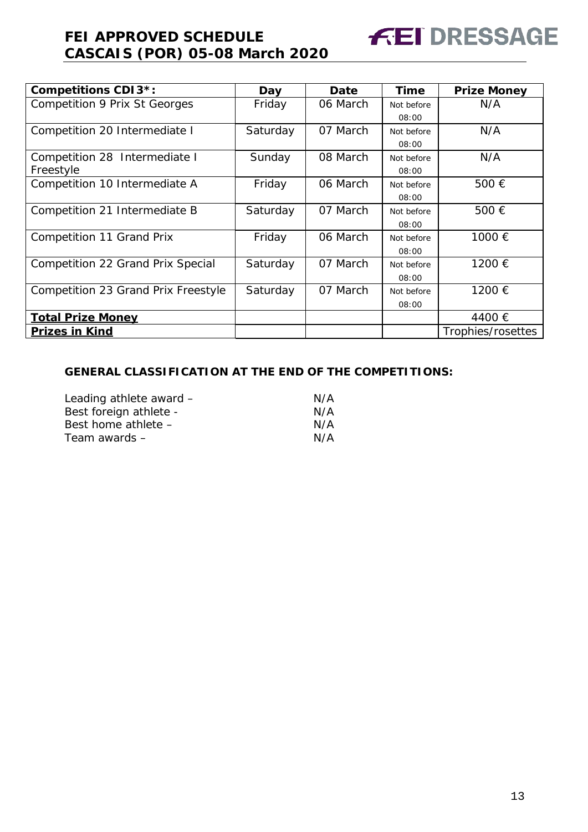| <b>Competitions CDI3*:</b>           | Day      | Date     | <b>Time</b> | <b>Prize Money</b> |
|--------------------------------------|----------|----------|-------------|--------------------|
| <b>Competition 9 Prix St Georges</b> | Friday   | 06 March | Not before  | N/A                |
|                                      |          |          | 08:00       |                    |
| Competition 20 Intermediate I        | Saturday | 07 March | Not before  | N/A                |
|                                      |          |          | 08:00       |                    |
| Competition 28 Intermediate I        | Sunday   | 08 March | Not before  | N/A                |
| Freestyle                            |          |          | 08:00       |                    |
| Competition 10 Intermediate A        | Friday   | 06 March | Not before  | 500 €              |
|                                      |          |          | 08:00       |                    |
| Competition 21 Intermediate B        | Saturday | 07 March | Not before  | 500€               |
|                                      |          |          | 08:00       |                    |
| Competition 11 Grand Prix            | Friday   | 06 March | Not before  | 1000 €             |
|                                      |          |          | 08:00       |                    |
| Competition 22 Grand Prix Special    | Saturday | 07 March | Not before  | 1200 €             |
|                                      |          |          | 08:00       |                    |
| Competition 23 Grand Prix Freestyle  | Saturday | 07 March | Not before  | 1200 €             |
|                                      |          |          | 08:00       |                    |
| <b>Total Prize Money</b>             |          |          |             | 4400 €             |
| <b>Prizes in Kind</b>                |          |          |             | Trophies/rosettes  |

#### **GENERAL CLASSIFICATION AT THE END OF THE COMPETITIONS:**

| Leading athlete award - | N/A |
|-------------------------|-----|
| Best foreign athlete -  | N/A |
| Best home athlete -     | N/A |
| Team awards –           | N/A |

**FEI DRESSAGE**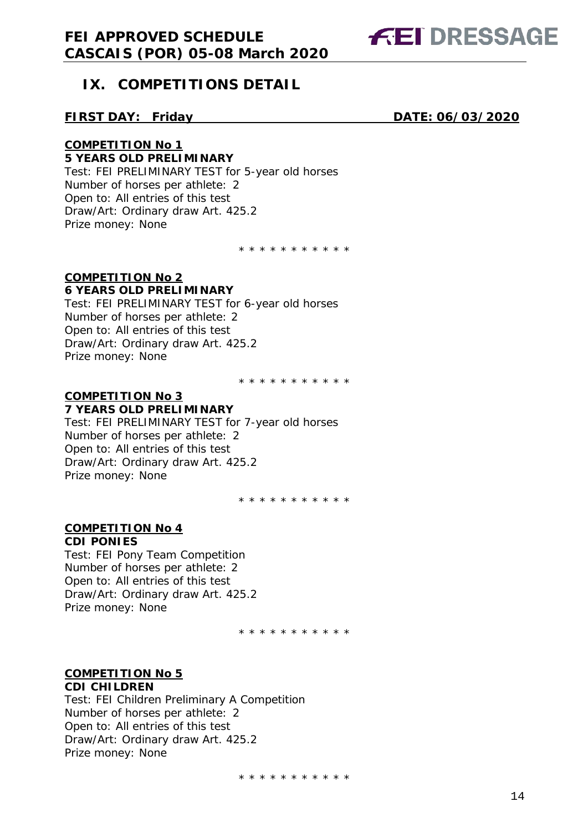

### <span id="page-13-0"></span>**IX. COMPETITIONS DETAIL**

#### **FIRST DAY: Friday DATE: 06/03/2020**

#### **COMPETITION No 1 5 YEARS OLD PRELIMINARY**

Test: FEI PRELIMINARY TEST for 5-year old horses

Number of horses per athlete: 2 Open to: All entries of this test Draw/Art: Ordinary draw Art. 425.2 Prize money: None

\* \* \* \* \* \* \* \* \* \* \*

#### **COMPETITION No 2 6 YEARS OLD PRELIMINARY**

Test: FEI PRELIMINARY TEST for 6-year old horses Number of horses per athlete: 2 Open to: All entries of this test Draw/Art: Ordinary draw Art. 425.2 Prize money: None

\* \* \* \* \* \* \* \* \* \* \*

#### **COMPETITION No 3 7 YEARS OLD PRELIMINARY**

Test: FEI PRELIMINARY TEST for 7-year old horses Number of horses per athlete: 2 Open to: All entries of this test Draw/Art: Ordinary draw Art. 425.2 Prize money: None

\* \* \* \* \* \* \* \* \* \* \*

#### **COMPETITION No 4**

#### **CDI PONIES**

Test: FEI Pony Team Competition Number of horses per athlete: 2 Open to: All entries of this test Draw/Art: Ordinary draw Art. 425.2 Prize money: None

\* \* \* \* \* \* \* \* \* \* \*

#### **COMPETITION No 5 CDI CHILDREN**

Test: FEI Children Preliminary A Competition Number of horses per athlete: 2 Open to: All entries of this test Draw/Art: Ordinary draw Art. 425.2 Prize money: None

\* \* \* \* \* \* \* \* \* \* \*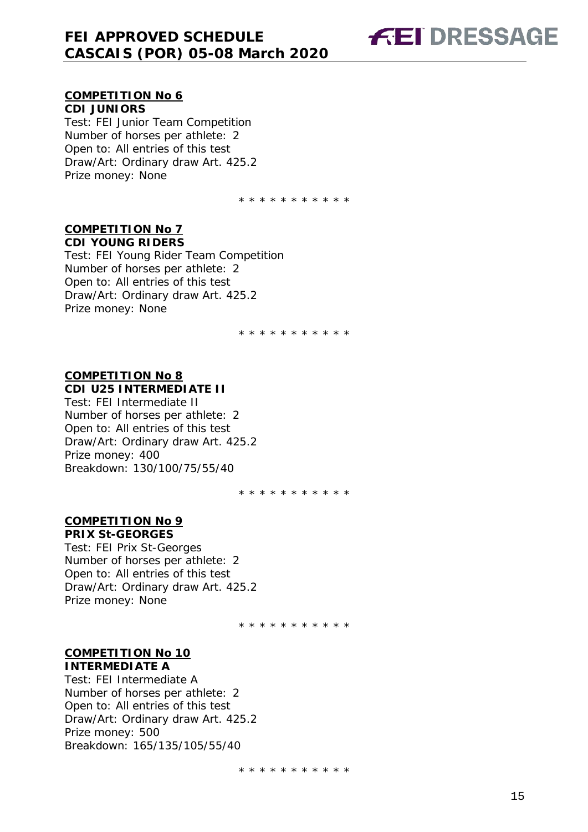# **FEI DRESSAGE**

#### **COMPETITION No 6 CDI JUNIORS**

Test: FEI Junior Team Competition Number of horses per athlete: 2 Open to: All entries of this test Draw/Art: Ordinary draw Art. 425.2 Prize money: None

\* \* \* \* \* \* \* \* \* \* \*

#### **COMPETITION No 7 CDI YOUNG RIDERS**

Test: FEI Young Rider Team Competition Number of horses per athlete: 2 Open to: All entries of this test Draw/Art: Ordinary draw Art. 425.2 Prize money: None

\* \* \* \* \* \* \* \* \* \* \*

#### **COMPETITION No 8 CDI U25 INTERMEDIATE II**

Test: FEI Intermediate II Number of horses per athlete: 2 Open to: All entries of this test Draw/Art: Ordinary draw Art. 425.2 Prize money: 400 Breakdown: 130/100/75/55/40

\* \* \* \* \* \* \* \* \* \* \*

#### **COMPETITION No 9 PRIX St-GEORGES**

Test: FEI Prix St-Georges Number of horses per athlete: 2 Open to: All entries of this test Draw/Art: Ordinary draw Art. 425.2 Prize money: None

\* \* \* \* \* \* \* \* \* \* \*

#### **COMPETITION No 10 INTERMEDIATE A**

Test: FEI Intermediate A Number of horses per athlete: 2 Open to: All entries of this test Draw/Art: Ordinary draw Art. 425.2 Prize money: 500 Breakdown: 165/135/105/55/40

\* \* \* \* \* \* \* \* \* \* \*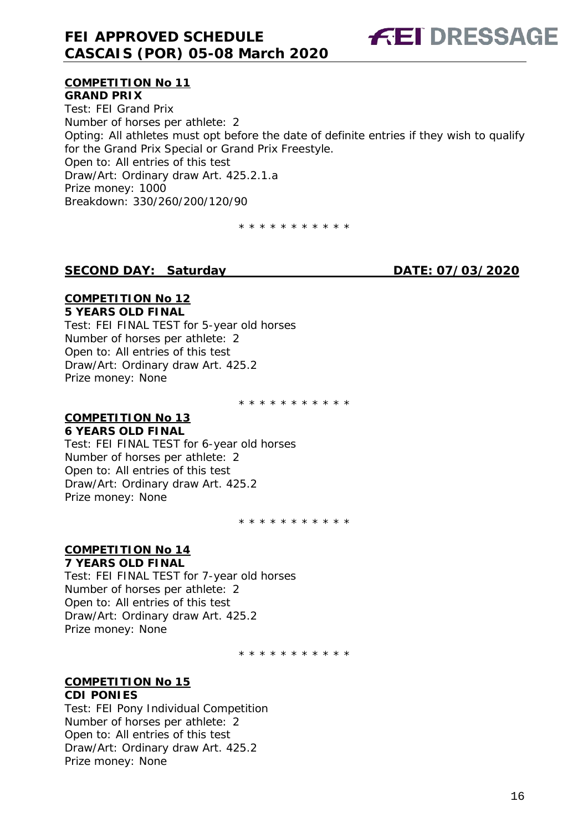

#### **COMPETITION No 11 GRAND PRIX**

Test: FEI Grand Prix Number of horses per athlete: 2 Opting: All athletes must opt before the date of definite entries if they wish to qualify for the Grand Prix Special or Grand Prix Freestyle. Open to: All entries of this test Draw/Art: Ordinary draw Art. 425.2.1.a Prize money: 1000 Breakdown: 330/260/200/120/90

\* \* \* \* \* \* \* \* \* \* \*

#### **SECOND DAY: Saturday DATE: 07/03/2020**

#### **COMPETITION No 12 5 YEARS OLD FINAL**

Test: FEI FINAL TEST for 5-year old horses Number of horses per athlete: 2 Open to: All entries of this test Draw/Art: Ordinary draw Art. 425.2 Prize money: None

\* \* \* \* \* \* \* \* \* \* \*

### **COMPETITION No 13**

#### **6 YEARS OLD FINAL**

Test: FEI FINAL TEST for 6-year old horses Number of horses per athlete: 2 Open to: All entries of this test Draw/Art: Ordinary draw Art. 425.2 Prize money: None

\* \* \* \* \* \* \* \* \* \* \*

#### **COMPETITION No 14 7 YEARS OLD FINAL**

Test: FEI FINAL TEST for 7-year old horses Number of horses per athlete: 2 Open to: All entries of this test Draw/Art: Ordinary draw Art. 425.2 Prize money: None

\* \* \* \* \* \* \* \* \* \* \*

#### **COMPETITION No 15 CDI PONIES**

Test: FEI Pony Individual Competition Number of horses per athlete: 2 Open to: All entries of this test Draw/Art: Ordinary draw Art. 425.2 Prize money: None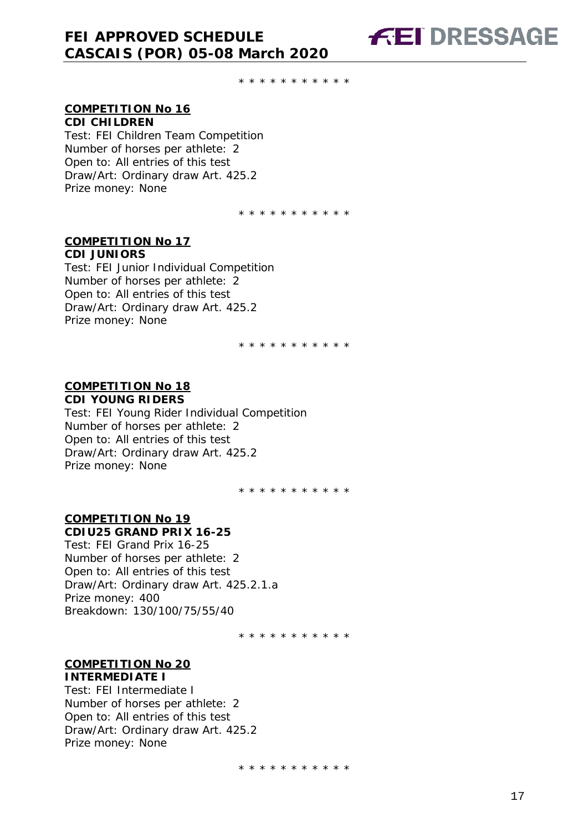\* \* \* \* \* \* \* \* \* \* \*

#### **COMPETITION No 16 CDI CHILDREN**

Test: FEI Children Team Competition Number of horses per athlete: 2 Open to: All entries of this test Draw/Art: Ordinary draw Art. 425.2 Prize money: None

\* \* \* \* \* \* \* \* \* \* \*

#### **COMPETITION No 17**

**CDI JUNIORS** Test: FEI Junior Individual Competition Number of horses per athlete: 2 Open to: All entries of this test Draw/Art: Ordinary draw Art. 425.2 Prize money: None

\* \* \* \* \* \* \* \* \* \* \*

#### **COMPETITION No 18 CDI YOUNG RIDERS**

Test: FEI Young Rider Individual Competition Number of horses per athlete: 2 Open to: All entries of this test Draw/Art: Ordinary draw Art. 425.2 Prize money: None

\* \* \* \* \* \* \* \* \* \* \*

#### **COMPETITION No 19 CDIU25 GRAND PRIX 16-25**

Test: FEI Grand Prix 16-25 Number of horses per athlete: 2 Open to: All entries of this test Draw/Art: Ordinary draw Art. 425.2.1.a Prize money: 400 Breakdown: 130/100/75/55/40

\* \* \* \* \* \* \* \* \* \* \*

#### **COMPETITION No 20 INTERMEDIATE I**

Test: FEI Intermediate I Number of horses per athlete: 2 Open to: All entries of this test Draw/Art: Ordinary draw Art. 425.2 Prize money: None

\* \* \* \* \* \* \* \* \* \* \*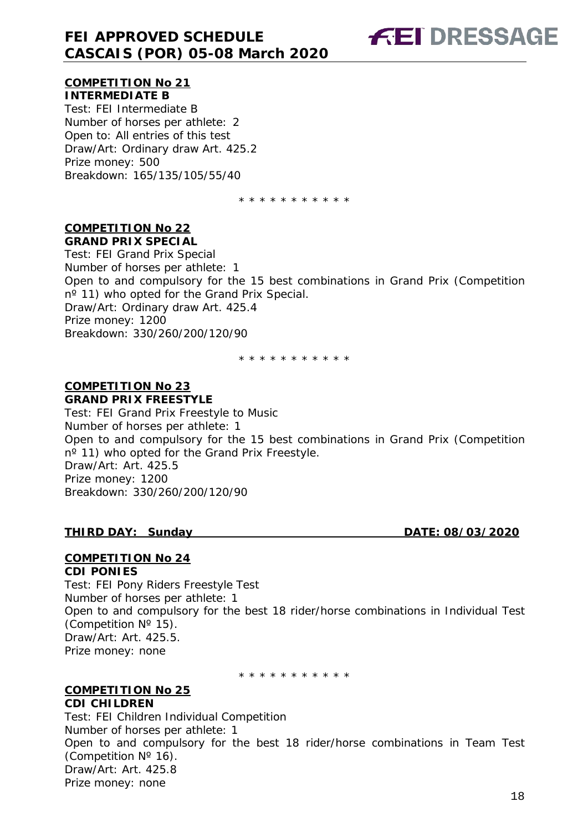

#### **COMPETITION No 21 INTERMEDIATE B**

Test: FEI Intermediate B Number of horses per athlete: 2 Open to: All entries of this test Draw/Art: Ordinary draw Art. 425.2 Prize money: 500 Breakdown: 165/135/105/55/40

\* \* \* \* \* \* \* \* \* \* \*

#### **COMPETITION No 22 GRAND PRIX SPECIAL**

Test: FEI Grand Prix Special Number of horses per athlete: 1 Open to and compulsory for the 15 best combinations in Grand Prix (Competition n<sup>o</sup> 11) who opted for the Grand Prix Special. Draw/Art: Ordinary draw Art. 425.4 Prize money: 1200 Breakdown: 330/260/200/120/90

\* \* \* \* \* \* \* \* \* \* \*

#### **COMPETITION No 23 GRAND PRIX FREESTYLE**

Test: FEI Grand Prix Freestyle to Music Number of horses per athlete: 1 Open to and compulsory for the 15 best combinations in Grand Prix (Competition n<sup>o</sup> 11) who opted for the Grand Prix Freestyle. Draw/Art: Art. 425.5 Prize money: 1200 Breakdown: 330/260/200/120/90

#### **THIRD DAY: Sunday DATE: 08/03/2020**

#### **COMPETITION No 24**

#### **CDI PONIES**

Test: FEI Pony Riders Freestyle Test Number of horses per athlete: 1 Open to and compulsory for the best 18 rider/horse combinations in Individual Test (Competition Nº 15). Draw/Art: Art. 425.5. Prize money: none

\* \* \* \* \* \* \* \* \* \*

#### **COMPETITION No 25 CDI CHILDREN**

Test: FEI Children Individual Competition Number of horses per athlete: 1 Open to and compulsory for the best 18 rider/horse combinations in Team Test (Competition Nº 16). Draw/Art: Art. 425.8 Prize money: none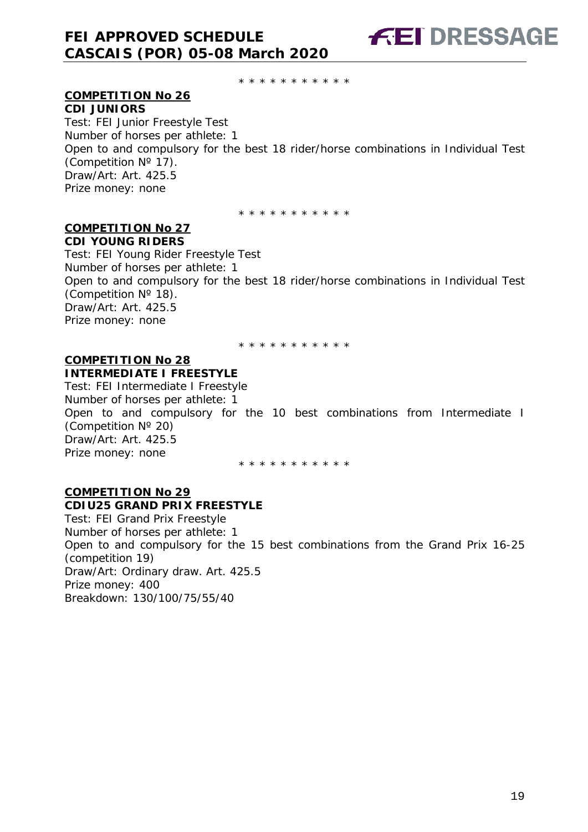\* \* \* \* \* \* \* \* \* \* \*

#### **COMPETITION No 26**

**CDI JUNIORS** Test: FEI Junior Freestyle Test Number of horses per athlete: 1 Open to and compulsory for the best 18 rider/horse combinations in Individual Test (Competition Nº 17). Draw/Art: Art. 425.5 Prize money: none

\* \* \* \* \* \* \* \* \* \* \*

#### **COMPETITION No 27 CDI YOUNG RIDERS**

Test: FEI Young Rider Freestyle Test Number of horses per athlete: 1 Open to and compulsory for the best 18 rider/horse combinations in Individual Test (Competition Nº 18). Draw/Art: Art. 425.5 Prize money: none

\* \* \* \* \* \* \* \* \* \*

#### **COMPETITION No 28 INTERMEDIATE I FREESTYLE**

Test: FEI Intermediate I Freestyle Number of horses per athlete: 1 Open to and compulsory for the 10 best combinations from Intermediate I (Competition Nº 20) Draw/Art: Art. 425.5 Prize money: none

\* \* \* \* \* \* \* \* \* \* \*

#### **COMPETITION No 29**

#### **CDIU25 GRAND PRIX FREESTYLE**

Test: FEI Grand Prix Freestyle Number of horses per athlete: 1 Open to and compulsory for the 15 best combinations from the Grand Prix 16-25 (competition 19) Draw/Art: Ordinary draw. Art. 425.5 Prize money: 400 Breakdown: 130/100/75/55/40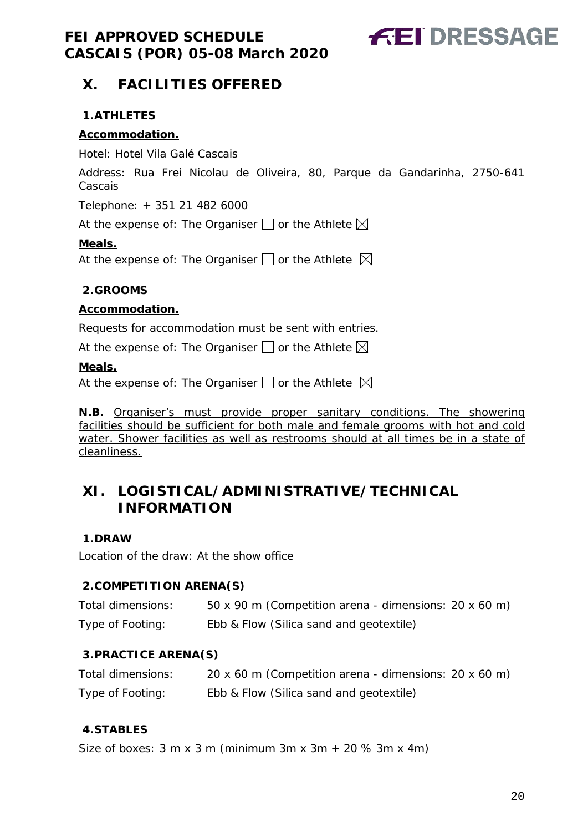**FEI DRESSAGE** 

### <span id="page-19-0"></span>**X. FACILITIES OFFERED**

#### <span id="page-19-1"></span>**1.ATHLETES**

#### **Accommodation.**

Hotel: Hotel Vila Galé Cascais

Address: Rua Frei Nicolau de Oliveira, 80, Parque da Gandarinha, 2750-641 Cascais

Telephone: + 351 21 482 6000

At the expense of: The Organiser  $\Box$  or the Athlete  $\boxtimes$ 

#### **Meals.**

At the expense of: The Organiser  $\square$  or the Athlete  $\boxtimes$ 

#### <span id="page-19-2"></span>**2.GROOMS**

#### **Accommodation.**

Requests for accommodation must be sent with entries.

At the expense of: The Organiser  $\Box$  or the Athlete  $\boxtimes$ 

#### **Meals.**

At the expense of: The Organiser  $\Box$  or the Athlete  $\boxtimes$ 

**N.B.** Organiser's must provide proper sanitary conditions. The showering facilities should be sufficient for both male and female grooms with hot and cold water. Shower facilities as well as restrooms should at all times be in a state of cleanliness.

### <span id="page-19-3"></span>**XI. LOGISTICAL/ADMINISTRATIVE/TECHNICAL INFORMATION**

#### <span id="page-19-4"></span>**1.DRAW**

Location of the draw: At the show office

#### <span id="page-19-5"></span>**2.COMPETITION ARENA(S)**

| Total dimensions: | 50 x 90 m (Competition arena - dimensions: 20 x 60 m) |
|-------------------|-------------------------------------------------------|
| Type of Footing:  | Ebb & Flow (Silica sand and geotextile)               |

#### <span id="page-19-6"></span>**3.PRACTICE ARENA(S)**

| Total dimensions: | 20 x 60 m (Competition arena - dimensions: 20 x 60 m) |
|-------------------|-------------------------------------------------------|
| Type of Footing:  | Ebb & Flow (Silica sand and geotextile)               |

#### <span id="page-19-7"></span>**4.STABLES**

Size of boxes:  $3 \text{ m} \times 3 \text{ m}$  (minimum  $3 \text{ m} \times 3 \text{ m} + 20 \% 3 \text{ m} \times 4 \text{ m}$ )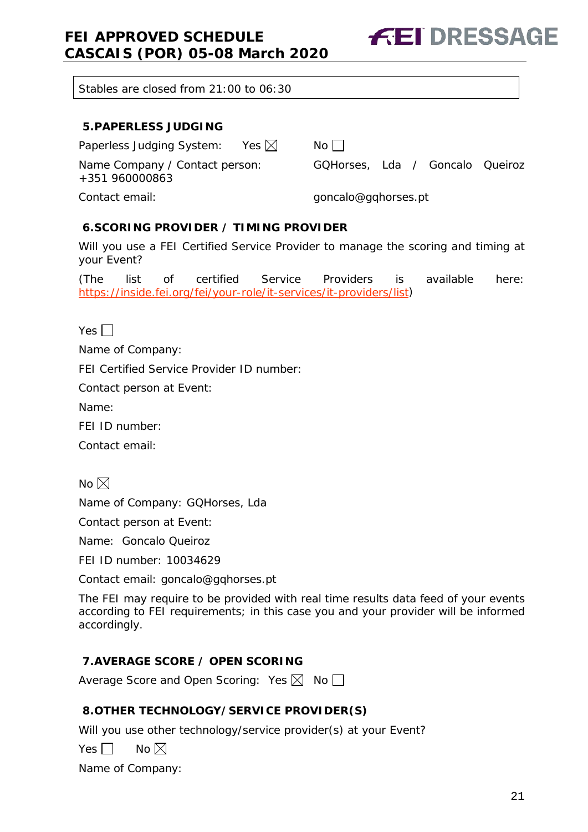**FEI DRESSAGE** 

Stables are closed from 21:00 to 06:30

#### <span id="page-20-0"></span>**5.PAPERLESS JUDGING**

Paperless Judging System: Yes  $\boxtimes$  No  $\Box$ 

Name Company / Contact person: GQHorses, Lda / Goncalo Queiroz

+351 960000863

Contact email: example and the set of the goncalo@gqhorses.pt

#### <span id="page-20-1"></span>**6.SCORING PROVIDER / TIMING PROVIDER**

Will you use a FEI Certified Service Provider to manage the scoring and timing at your Event?

(The list of certified Service Providers is available here: [https://inside.fei.org/fei/your-role/it-services/it-providers/list\)](https://inside.fei.org/fei/your-role/it-services/it-providers/list)

Yes  $\Box$ 

Name of Company:

FEI Certified Service Provider ID number:

Contact person at Event:

Name:

FEI ID number:

Contact email:

No  $\boxtimes$ 

Name of Company: GQHorses, Lda

Contact person at Event:

Name: Goncalo Queiroz

FEI ID number: 10034629

Contact email: goncalo@gqhorses.pt

The FEI may require to be provided with real time results data feed of your events according to FEI requirements; in this case you and your provider will be informed accordingly.

#### <span id="page-20-2"></span>**7.AVERAGE SCORE / OPEN SCORING**

Average Score and Open Scoring: Yes  $\boxtimes$  No  $\square$ 

#### <span id="page-20-3"></span>**8.OTHER TECHNOLOGY/SERVICE PROVIDER(S)**

Will you use other technology/service provider(s) at your Event?

Yes  $\Box$  No  $\boxtimes$ 

Name of Company: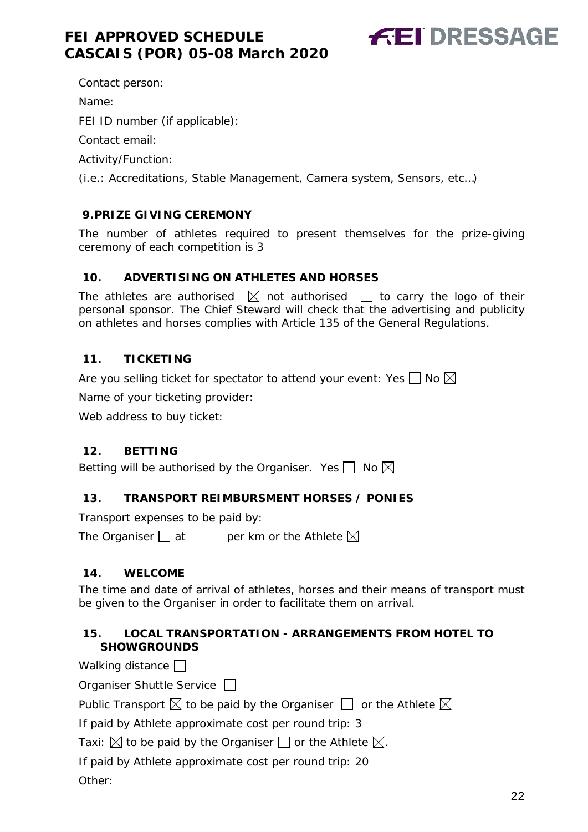Contact person:

Name:

FEI ID number (if applicable):

Contact email:

Activity/Function:

(i.e.: Accreditations, Stable Management, Camera system, Sensors, etc…)

#### <span id="page-21-0"></span>**9.PRIZE GIVING CEREMONY**

The number of athletes required to present themselves for the prize-giving ceremony of each competition is 3

#### <span id="page-21-1"></span>**10. ADVERTISING ON ATHLETES AND HORSES**

The athletes are authorised  $\boxtimes$  not authorised  $\Box$  to carry the logo of their personal sponsor. The Chief Steward will check that the advertising and publicity on athletes and horses complies with Article 135 of the General Regulations.

#### <span id="page-21-2"></span>**11. TICKETING**

Are you selling ticket for spectator to attend your event: Yes  $\Box$  No  $\boxtimes$ 

Name of your ticketing provider:

Web address to buy ticket:

#### <span id="page-21-3"></span>**12. BETTING**

Betting will be authorised by the Organiser. Yes  $\Box$  No  $\boxtimes$ 

#### <span id="page-21-4"></span>**13. TRANSPORT REIMBURSMENT HORSES / PONIES**

Transport expenses to be paid by:

The Organiser  $\Box$  at entries the Athlete  $\boxtimes$ 

#### <span id="page-21-5"></span>**14. WELCOME**

The time and date of arrival of athletes, horses and their means of transport must be given to the Organiser in order to facilitate them on arrival.

#### <span id="page-21-6"></span>**15. LOCAL TRANSPORTATION - ARRANGEMENTS FROM HOTEL TO SHOWGROUNDS**

Walking distance  $\Box$ 

Organiser Shuttle Service  $\Box$ 

Public Transport  $\boxtimes$  to be paid by the Organiser  $\Box$  or the Athlete  $\boxtimes$ 

If paid by Athlete approximate cost per round trip: 3

Taxi:  $\boxtimes$  to be paid by the Organiser  $\Box$  or the Athlete  $\boxtimes$ .

If paid by Athlete approximate cost per round trip: 20

Other: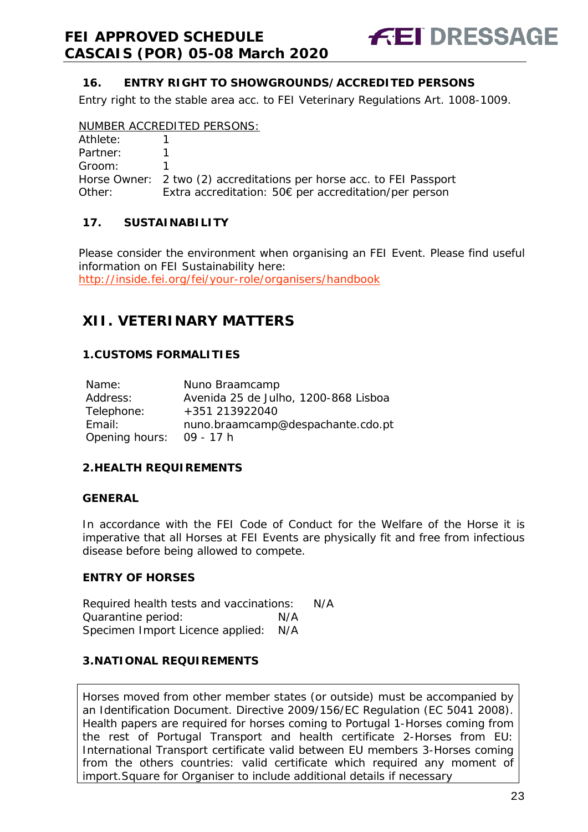

#### <span id="page-22-0"></span>**16. ENTRY RIGHT TO SHOWGROUNDS/ACCREDITED PERSONS**

Entry right to the stable area acc. to FEI Veterinary Regulations Art. 1008-1009.

#### NUMBER ACCREDITED PERSONS:

| Athlete: |                                                                      |
|----------|----------------------------------------------------------------------|
| Partner: |                                                                      |
| Groom:   |                                                                      |
|          | Horse Owner: 2 two (2) accreditations per horse acc. to FEI Passport |
| Other:   | Extra accreditation: 50 $\epsilon$ per accreditation/per person      |

#### <span id="page-22-1"></span>**17. SUSTAINABILITY**

Please consider the environment when organising an FEI Event. Please find useful information on FEI Sustainability here: <http://inside.fei.org/fei/your-role/organisers/handbook>

### <span id="page-22-2"></span>**XII. VETERINARY MATTERS**

#### <span id="page-22-3"></span>**1.CUSTOMS FORMALITIES**

| Name:          | Nuno Braamcamp                       |
|----------------|--------------------------------------|
| Address:       | Avenida 25 de Julho, 1200-868 Lisboa |
| Telephone:     | +351 213922040                       |
| Email:         | nuno.braamcamp@despachante.cdo.pt    |
| Opening hours: | 09 - 17 h                            |

#### <span id="page-22-4"></span>**2.HEALTH REQUIREMENTS**

#### **GENERAL**

In accordance with the FEI Code of Conduct for the Welfare of the Horse it is imperative that all Horses at FEI Events are physically fit and free from infectious disease before being allowed to compete.

#### **ENTRY OF HORSES**

Required health tests and vaccinations: N/A Quarantine period: N/A Specimen Import Licence applied: N/A

#### <span id="page-22-5"></span>**3.NATIONAL REQUIREMENTS**

Horses moved from other member states (or outside) must be accompanied by an Identification Document. Directive 2009/156/EC Regulation (EC 5041 2008). Health papers are required for horses coming to Portugal 1-Horses coming from the rest of Portugal Transport and health certificate 2-Horses from EU: International Transport certificate valid between EU members 3-Horses coming from the others countries: valid certificate which required any moment of import.Square for Organiser to include additional details if necessary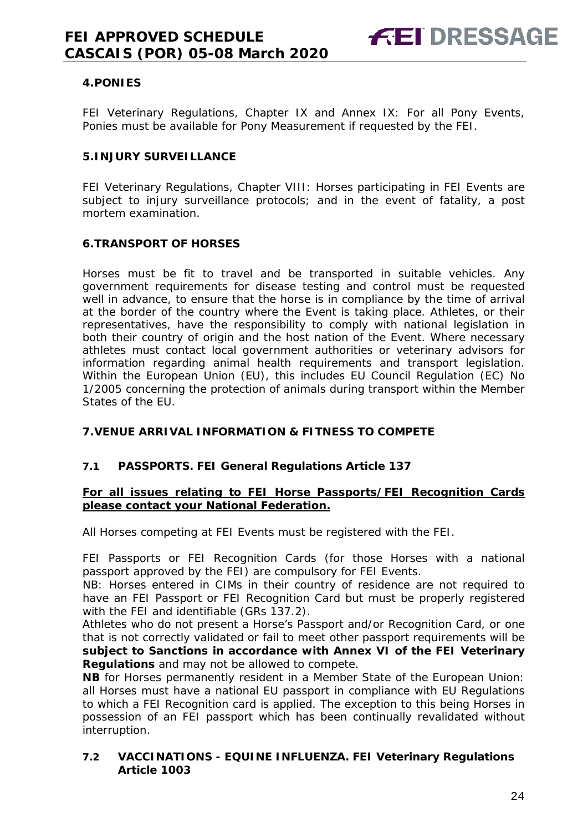#### <span id="page-23-0"></span>**4.PONIES**

FEI Veterinary Regulations, Chapter IX and Annex IX: For all Pony Events, Ponies must be available for Pony Measurement if requested by the FEI.

#### <span id="page-23-1"></span>**5.INJURY SURVEILLANCE**

FEI Veterinary Regulations, Chapter VIII: Horses participating in FEI Events are subject to injury surveillance protocols; and in the event of fatality, a post mortem examination.

#### <span id="page-23-2"></span>**6.TRANSPORT OF HORSES**

Horses must be fit to travel and be transported in suitable vehicles. Any government requirements for disease testing and control must be requested well in advance, to ensure that the horse is in compliance by the time of arrival at the border of the country where the Event is taking place. Athletes, or their representatives, have the responsibility to comply with national legislation in both their country of origin and the host nation of the Event. Where necessary athletes must contact local government authorities or veterinary advisors for information regarding animal health requirements and transport legislation. Within the European Union (EU), this includes EU Council Regulation (EC) No 1/2005 concerning the protection of animals during transport within the Member States of the EU.

#### <span id="page-23-3"></span>**7.VENUE ARRIVAL INFORMATION & FITNESS TO COMPETE**

#### **7.1 PASSPORTS. FEI General Regulations Article 137**

#### **For all issues relating to FEI Horse Passports/FEI Recognition Cards please contact your National Federation.**

All Horses competing at FEI Events must be registered with the FEI.

FEI Passports or FEI Recognition Cards (for those Horses with a national passport approved by the FEI) are compulsory for FEI Events.

NB: Horses entered in CIMs in their country of residence are not required to have an FEI Passport or FEI Recognition Card but must be properly registered with the FEI and identifiable (GRs 137.2).

Athletes who do not present a Horse's Passport and/or Recognition Card, or one that is not correctly validated or fail to meet other passport requirements will be **subject to Sanctions in accordance with Annex VI of the FEI Veterinary Regulations** and may not be allowed to compete.

**NB** for Horses permanently resident in a Member State of the European Union: all Horses must have a national EU passport in compliance with EU Regulations to which a FEI Recognition card is applied. The exception to this being Horses in possession of an FEI passport which has been continually revalidated without interruption.

#### **7.2 VACCINATIONS - EQUINE INFLUENZA. FEI Veterinary Regulations Article 1003**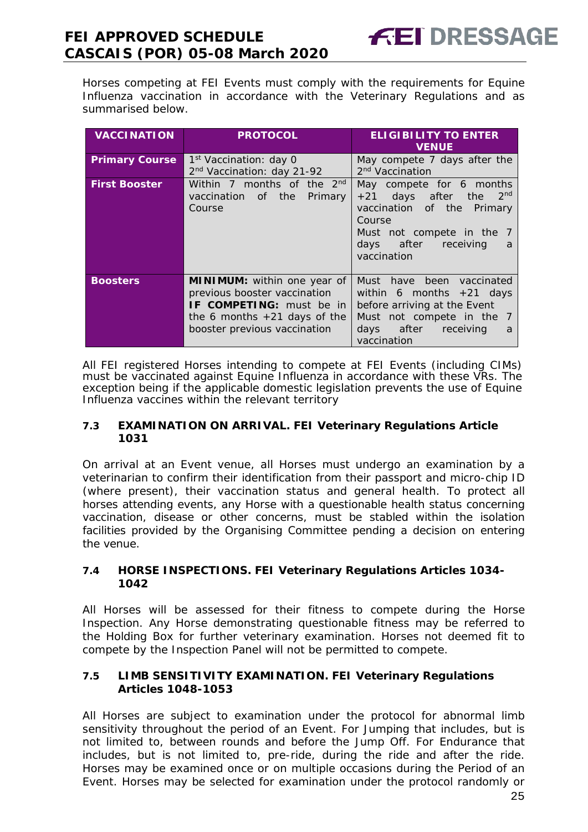Horses competing at FEI Events must comply with the requirements for Equine Influenza vaccination in accordance with the Veterinary Regulations and as summarised below.

| <b>VACCINATION</b>    | <b>PROTOCOL</b>                                                                                                                                                  | <b>ELIGIBILITY TO ENTER</b><br><b>VENUE</b>                                                                                                                                       |
|-----------------------|------------------------------------------------------------------------------------------------------------------------------------------------------------------|-----------------------------------------------------------------------------------------------------------------------------------------------------------------------------------|
| <b>Primary Course</b> | 1 <sup>st</sup> Vaccination: day 0<br>2 <sup>nd</sup> Vaccination: day 21-92                                                                                     | May compete 7 days after the<br>2 <sup>nd</sup> Vaccination                                                                                                                       |
| <b>First Booster</b>  | Within 7 months of the 2 <sup>nd</sup><br>vaccination of the<br>Primary<br>Course                                                                                | May compete for 6 months<br>$+21$ days after the 2 <sup>nd</sup><br>vaccination of the Primary<br>Course<br>Must not compete in the 7<br>days after receiving<br>a<br>vaccination |
| <b>Boosters</b>       | <b>MINIMUM:</b> within one year of<br>previous booster vaccination<br>IF COMPETING: must be in<br>the 6 months $+21$ days of the<br>booster previous vaccination | Must have been vaccinated<br>within 6 months $+21$ days<br>before arriving at the Event<br>Must not compete in the 7<br>days after receiving<br>a<br>vaccination                  |

All FEI registered Horses intending to compete at FEI Events (including CIMs) must be vaccinated against Equine Influenza in accordance with these VRs. The exception being if the applicable domestic legislation prevents the use of Equine Influenza vaccines within the relevant territory

#### **7.3 EXAMINATION ON ARRIVAL. FEI Veterinary Regulations Article 1031**

On arrival at an Event venue, all Horses must undergo an examination by a veterinarian to confirm their identification from their passport and micro-chip ID (where present), their vaccination status and general health. To protect all horses attending events, any Horse with a questionable health status concerning vaccination, disease or other concerns, must be stabled within the isolation facilities provided by the Organising Committee pending a decision on entering the venue.

#### **7.4 HORSE INSPECTIONS. FEI Veterinary Regulations Articles 1034- 1042**

All Horses will be assessed for their fitness to compete during the Horse Inspection. Any Horse demonstrating questionable fitness may be referred to the Holding Box for further veterinary examination. Horses not deemed fit to compete by the Inspection Panel will not be permitted to compete.

#### **7.5 LIMB SENSITIVITY EXAMINATION. FEI Veterinary Regulations Articles 1048-1053**

All Horses are subject to examination under the protocol for abnormal limb sensitivity throughout the period of an Event. For Jumping that includes, but is not limited to, between rounds and before the Jump Off. For Endurance that includes, but is not limited to, pre-ride, during the ride and after the ride. Horses may be examined once or on multiple occasions during the Period of an Event. Horses may be selected for examination under the protocol randomly or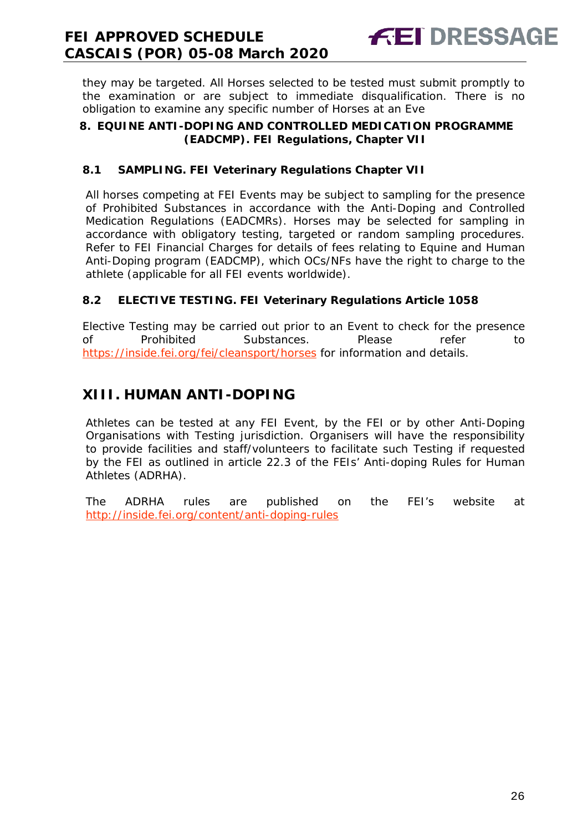**FEI DRESSAGE** 

they may be targeted. All Horses selected to be tested must submit promptly to the examination or are subject to immediate disqualification. There is no obligation to examine any specific number of Horses at an Eve

#### <span id="page-25-0"></span>**8. EQUINE ANTI-DOPING AND CONTROLLED MEDICATION PROGRAMME (EADCMP). FEI Regulations, Chapter VII**

#### **8.1 SAMPLING. FEI Veterinary Regulations Chapter VII**

All horses competing at FEI Events may be subject to sampling for the presence of Prohibited Substances in accordance with the Anti-Doping and Controlled Medication Regulations (EADCMRs). Horses may be selected for sampling in accordance with obligatory testing, targeted or random sampling procedures. Refer to FEI Financial Charges for details of fees relating to Equine and Human Anti-Doping program (EADCMP), which OCs/NFs have the right to charge to the athlete (applicable for all FEI events worldwide).

### **8.2 ELECTIVE TESTING. FEI Veterinary Regulations Article 1058**

Elective Testing may be carried out prior to an Event to check for the presence of Prohibited Substances. Please refer to https://inside.fei.org/fei/cleansport/horses for information and details.

### <span id="page-25-1"></span>**XIII. HUMAN ANTI-DOPING**

Athletes can be tested at any FEI Event, by the FEI or by other Anti-Doping Organisations with Testing jurisdiction. Organisers will have the responsibility to provide facilities and staff/volunteers to facilitate such Testing if requested by the FEI as outlined in article 22.3 of the FEIs' Anti-doping Rules for Human Athletes (ADRHA).

The ADRHA rules are published on the FEI's website at <http://inside.fei.org/content/anti-doping-rules>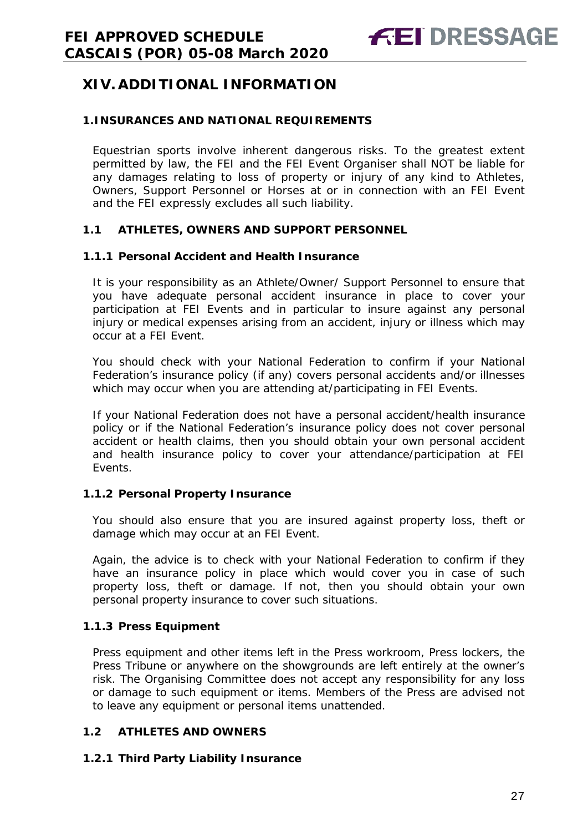### <span id="page-26-0"></span>**XIV. ADDITIONAL INFORMATION**

#### <span id="page-26-1"></span>**1.INSURANCES AND NATIONAL REQUIREMENTS**

Equestrian sports involve inherent dangerous risks. To the greatest extent permitted by law, the FEI and the FEI Event Organiser shall NOT be liable for any damages relating to loss of property or injury of any kind to Athletes, Owners, Support Personnel or Horses at or in connection with an FEI Event and the FEI expressly excludes all such liability.

#### **1.1 ATHLETES, OWNERS AND SUPPORT PERSONNEL**

#### **1.1.1 Personal Accident and Health Insurance**

It is your responsibility as an Athlete/Owner/ Support Personnel to ensure that you have adequate personal accident insurance in place to cover your participation at FEI Events and in particular to insure against any personal injury or medical expenses arising from an accident, injury or illness which may occur at a FEI Event.

You should check with your National Federation to confirm if your National Federation's insurance policy (if any) covers personal accidents and/or illnesses which may occur when you are attending at/participating in FEI Events.

If your National Federation does not have a personal accident/health insurance policy or if the National Federation's insurance policy does not cover personal accident or health claims, then you should obtain your own personal accident and health insurance policy to cover your attendance/participation at FEI Events.

#### **1.1.2 Personal Property Insurance**

You should also ensure that you are insured against property loss, theft or damage which may occur at an FEI Event.

Again, the advice is to check with your National Federation to confirm if they have an insurance policy in place which would cover you in case of such property loss, theft or damage. If not, then you should obtain your own personal property insurance to cover such situations.

#### **1.1.3 Press Equipment**

Press equipment and other items left in the Press workroom, Press lockers, the Press Tribune or anywhere on the showgrounds are left entirely at the owner's risk. The Organising Committee does not accept any responsibility for any loss or damage to such equipment or items. Members of the Press are advised not to leave any equipment or personal items unattended.

#### **1.2 ATHLETES AND OWNERS**

#### **1.2.1 Third Party Liability Insurance**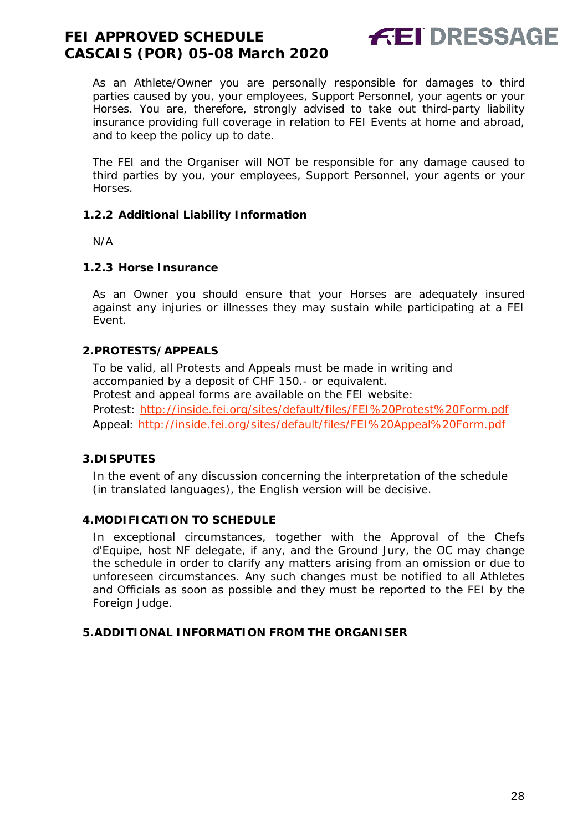As an Athlete/Owner you are personally responsible for damages to third parties caused by you, your employees, Support Personnel, your agents or your Horses. You are, therefore, strongly advised to take out third-party liability insurance providing full coverage in relation to FEI Events at home and abroad, and to keep the policy up to date.

**FEI DRESSAGE** 

The FEI and the Organiser will NOT be responsible for any damage caused to third parties by you, your employees, Support Personnel, your agents or your Horses.

#### **1.2.2 Additional Liability Information**

N/A

#### **1.2.3 Horse Insurance**

As an Owner you should ensure that your Horses are adequately insured against any injuries or illnesses they may sustain while participating at a FEI Event.

#### <span id="page-27-0"></span>**2.PROTESTS/APPEALS**

To be valid, all Protests and Appeals must be made in writing and accompanied by a deposit of CHF 150.- or equivalent. Protest and appeal forms are available on the FEI website: Protest:<http://inside.fei.org/sites/default/files/FEI%20Protest%20Form.pdf> Appeal:<http://inside.fei.org/sites/default/files/FEI%20Appeal%20Form.pdf>

#### <span id="page-27-1"></span>**3.DISPUTES**

In the event of any discussion concerning the interpretation of the schedule (in translated languages), the English version will be decisive.

#### <span id="page-27-2"></span>**4.MODIFICATION TO SCHEDULE**

In exceptional circumstances, together with the Approval of the Chefs d'Equipe, host NF delegate, if any, and the Ground Jury, the OC may change the schedule in order to clarify any matters arising from an omission or due to unforeseen circumstances. Any such changes must be notified to all Athletes and Officials as soon as possible and they must be reported to the FEI by the Foreign Judge.

#### <span id="page-27-3"></span>**5.ADDITIONAL INFORMATION FROM THE ORGANISER**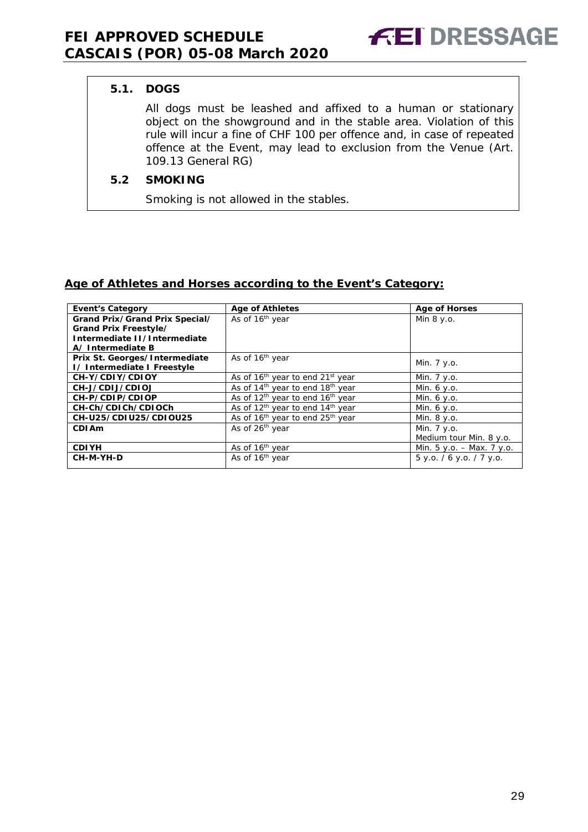#### **5.1. DOGS**

All dogs must be leashed and affixed to a human or stationary object on the showground and in the stable area. Violation of this rule will incur a fine of CHF 100 per offence and, in case of repeated offence at the Event, may lead to exclusion from the Venue (Art. 109.13 General RG)

#### **5.2 SMOKING**

Smoking is not allowed in the stables.

#### **Age of Athletes and Horses according to the Event's Category:**

| <b>Event's Category</b>        | <b>Age of Athletes</b>                                   | <b>Age of Horses</b>        |
|--------------------------------|----------------------------------------------------------|-----------------------------|
| Grand Prix/Grand Prix Special/ | As of 16 <sup>th</sup> year                              | Min 8 y.o.                  |
| Grand Prix Freestyle/          |                                                          |                             |
| Intermediate II/Intermediate   |                                                          |                             |
| A/Intermediate B               |                                                          |                             |
| Prix St. Georges/Intermediate  | As of 16 <sup>th</sup> year                              |                             |
| I/ Intermediate I Freestyle    |                                                          | Min. 7 y.o.                 |
| CH-Y/CDIY/CDIOY                | As of 16 <sup>th</sup> year to end 21 <sup>st</sup> year | Min. 7 y.o.                 |
| CH-J/CDIJ/CDIOJ                | As of 14 <sup>th</sup> year to end 18 <sup>th</sup> year | Min. $6 y.o.$               |
| CH-P/CDIP/CDIOP                | As of 12 <sup>th</sup> year to end 16 <sup>th</sup> year | Min. 6 y.o.                 |
| CH-Ch/CDICh/CDIOCh             | As of 12 <sup>th</sup> year to end 14 <sup>th</sup> year | Min. 6 y.o.                 |
| CH-U25/CDIU25/CDIOU25          | As of 16 <sup>th</sup> year to end 25 <sup>th</sup> year | Min. 8 y.o.                 |
| CDI Am                         | As of 26 <sup>th</sup> year                              | Min. 7 y.o.                 |
|                                |                                                          | Medium tour Min. 8 y.o.     |
| <b>CDIYH</b>                   | As of 16 <sup>th</sup> year                              | Min. $5 y.o. - Max. 7 y.o.$ |
| CH-M-YH-D                      | As of 16 <sup>th</sup> year                              | $5$ y.o. / 6 y.o. / 7 y.o.  |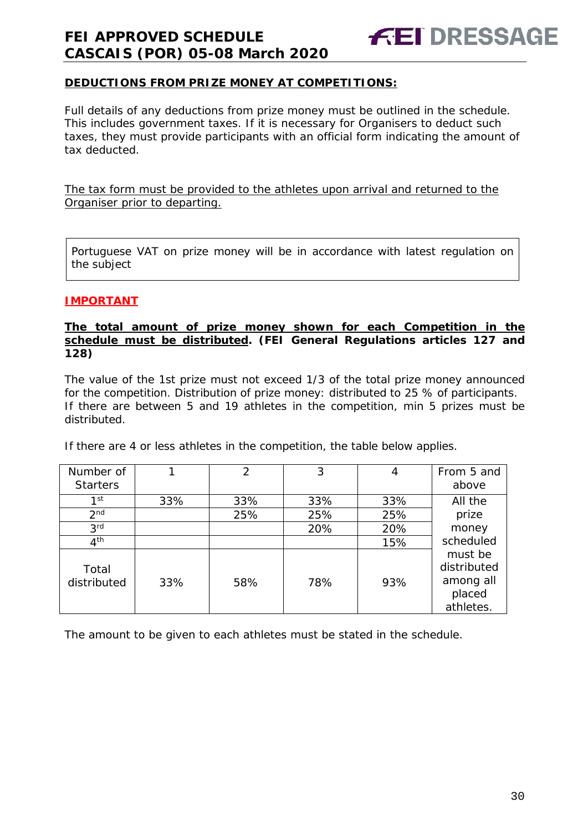

#### **DEDUCTIONS FROM PRIZE MONEY AT COMPETITIONS:**

Full details of any deductions from prize money must be outlined in the schedule. This includes government taxes. If it is necessary for Organisers to deduct such taxes, they must provide participants with an official form indicating the amount of tax deducted.

The tax form must be provided to the athletes upon arrival and returned to the Organiser prior to departing.

Portuguese VAT on prize money will be in accordance with latest regulation on the subject

#### **IMPORTANT**

#### **The total amount of prize money shown for each Competition in the schedule must be distributed. (FEI General Regulations articles 127 and 128)**

The value of the 1st prize must not exceed 1/3 of the total prize money announced for the competition. Distribution of prize money: distributed to 25 % of participants. If there are between 5 and 19 athletes in the competition, min 5 prizes must be distributed.

If there are 4 or less athletes in the competition, the table below applies.

| Number of<br><b>Starters</b> |     | 2   | 3   | 4   | From 5 and<br>above                                        |
|------------------------------|-----|-----|-----|-----|------------------------------------------------------------|
| 1st                          | 33% | 33% | 33% | 33% | All the                                                    |
| 2 <sub>nd</sub>              |     | 25% | 25% | 25% | prize                                                      |
| 3 <sup>rd</sup>              |     |     | 20% | 20% | money                                                      |
| 4 <sup>th</sup>              |     |     |     | 15% | scheduled                                                  |
| Total<br>distributed         | 33% | 58% | 78% | 93% | must be<br>distributed<br>among all<br>placed<br>athletes. |

The amount to be given to each athletes must be stated in the schedule.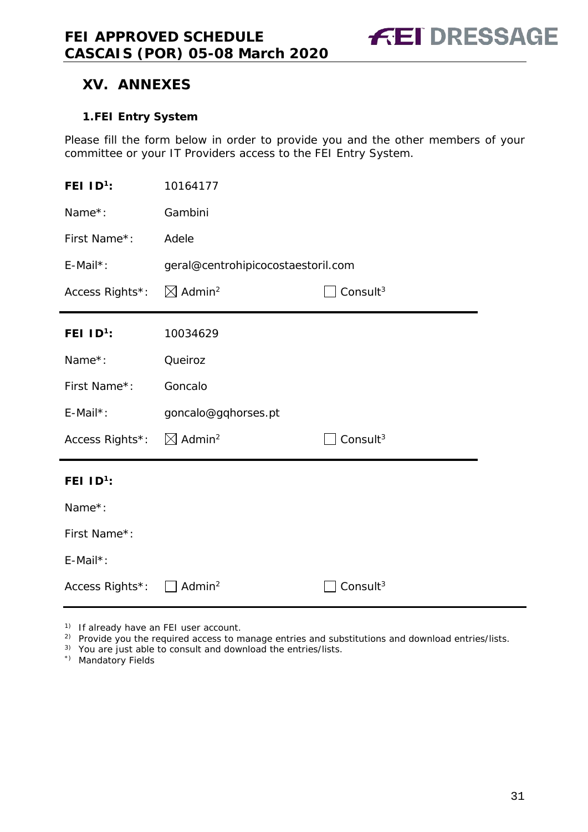### <span id="page-30-0"></span>**XV. ANNEXES**

#### <span id="page-30-1"></span>**1.FEI Entry System**

Please fill the form below in order to provide you and the other members of your committee or your IT Providers access to the FEI Entry System.

| FEI $ID^1$ :                                   | 10164177                                               |                      |  |
|------------------------------------------------|--------------------------------------------------------|----------------------|--|
| Name*:                                         | Gambini                                                |                      |  |
| First Name*:                                   | Adele                                                  |                      |  |
| $E$ -Mail*:                                    | geral@centrohipicocostaestoril.com                     |                      |  |
| Access Rights*:                                | $\boxtimes$ Admin <sup>2</sup><br>Consult <sup>3</sup> |                      |  |
| FEI $ID^1$ :                                   | 10034629                                               |                      |  |
| Name*:                                         | Queiroz                                                |                      |  |
| First Name*:                                   | Goncalo                                                |                      |  |
| $E$ -Mail*:                                    | goncalo@gqhorses.pt                                    |                      |  |
| Access Rights*: $\boxtimes$ Admin <sup>2</sup> |                                                        | Consult <sup>3</sup> |  |
| FEI $ID^1$ :                                   |                                                        |                      |  |
| Name*:                                         |                                                        |                      |  |
| First Name*:                                   |                                                        |                      |  |
| E-Mail*:                                       |                                                        |                      |  |
| Access Rights*:                                | Admin <sup>2</sup>                                     | Consult <sup>3</sup> |  |

1) If already have an FEI user account.

<sup>2)</sup> Provide you the required access to manage entries and substitutions and download entries/lists.

3) You are just able to consult and download the entries/lists.

\*) Mandatory Fields